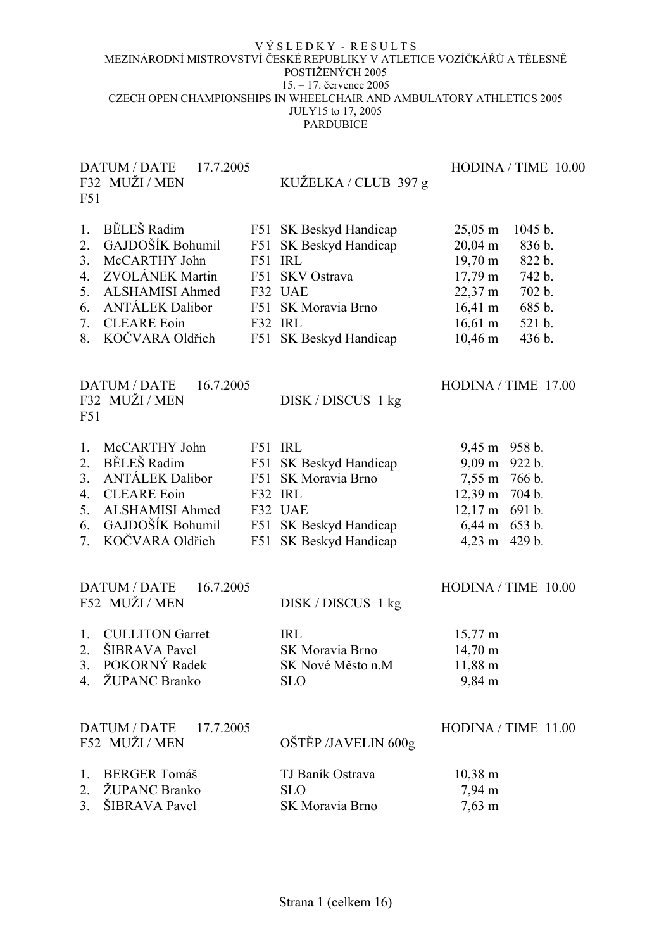# DATUM / DATE 17.7.2005 HODINA / TIME 10.00 F32 MUŽI / MEN F51

KUŽELKA / CLUB 397 g

|                | 1. BĚLEŠ Radim      | F51 SK Beskyd Handicap | $25,05 \; \text{m}$ | 1045 b. |
|----------------|---------------------|------------------------|---------------------|---------|
|                | 2. GAJDOŠÍK Bohumil | F51 SK Beskyd Handicap | $20,04 \text{ m}$   | 836 b.  |
| 3 <sub>1</sub> | McCARTHY John       | F51 IRL                | $19,70 \text{ m}$   | 822 b.  |
|                | 4. ZVOLÁNEK Martin  | F51 SKV Ostrava        | $17,79 \text{ m}$   | 742 b.  |
|                | 5. ALSHAMISI Ahmed  | F32 UAE                | $22,37 \text{ m}$   | 702 b.  |
|                | 6. ANTÁLEK Dalibor  | F51 SK Moravia Brno    | $16,41 \text{ m}$   | 685 b.  |
| 7.             | <b>CLEARE Eoin</b>  | F32 IRL                | $16,61 \; \text{m}$ | 521 b.  |
|                | 8. KOČVARA Oldřich  | F51 SK Beskyd Handicap | $10,46 \; \text{m}$ | 436 b.  |
|                |                     |                        |                     |         |
|                |                     |                        |                     |         |

| $DATAUM / DATAE$ 16.7.2005<br>F32 MUŽI/MEN<br>F51                       | DISK/DISCUS 1 kg |                         | $HODINA / TIME$ 17.00 |
|-------------------------------------------------------------------------|------------------|-------------------------|-----------------------|
| 1. McCARTHY John<br>$\mathbf{y} = \mathbf{y} = \mathbf{y} = \mathbf{y}$ | F51 IRL          | $9,45 \text{ m}$ 958 b. |                       |

| 2. BĚLEŠ Radim      | F51 SK Beskyd Handicap | $9,09 \text{ m}$ 922 b.  |  |
|---------------------|------------------------|--------------------------|--|
| 3. ANTÁLEK Dalibor  | F51 SK Moravia Brno    | 7,55 m 766 b.            |  |
| 4. CLEARE Eoin      | $F32$ IRL              | $12,39 \text{ m}$ 704 b. |  |
| 5. ALSHAMISI Ahmed  | F32 UAE                | $12,17 \text{ m}$ 691 b. |  |
| 6. GAJDOŠÍK Bohumil | F51 SK Beskyd Handicap | $6,44 \text{ m}$ 653 b.  |  |
| 7. KOČVARA Oldřich  | F51 SK Beskyd Handicap | $4,23 \text{ m}$ 429 b.  |  |
|                     |                        |                          |  |

| DATUM / DATE 16.7.2005<br>F52 MUŽI / MEN | DISK / DISCUS 1 kg  | HODINA / TIME 10.00   |
|------------------------------------------|---------------------|-----------------------|
|                                          |                     |                       |
| <b>CULLITON Garret</b><br>1.             | <b>IRL</b>          | $15,77 \text{ m}$     |
| <b>SIBRAVA</b> Pavel<br>2.               | SK Moravia Brno     | $14,70 \text{ m}$     |
| 3. POKORNÝ Radek                         | SK Nové Město n.M   | $11,88 \; \text{m}$   |
| ŽUPANC Branko<br>$4_{\ldots}$            | <b>SLO</b>          | 9,84 m                |
|                                          |                     |                       |
| DATUM / DATE 17.7.2005                   |                     | HODINA / TIME $11.00$ |
| F52 MUŽI / MEN                           | OŠTĚP /JAVELIN 600g |                       |
| <b>BERGER Tomáš</b><br>1.                | TJ Baník Ostrava    | $10,38 \; \mathrm{m}$ |
| ŽUPANC Branko<br>2.                      | <b>SLO</b>          | $7,94 \text{ m}$      |
| 3. ŠIBRAVA Pavel                         | SK Moravia Brno     | $7,63 \; \text{m}$    |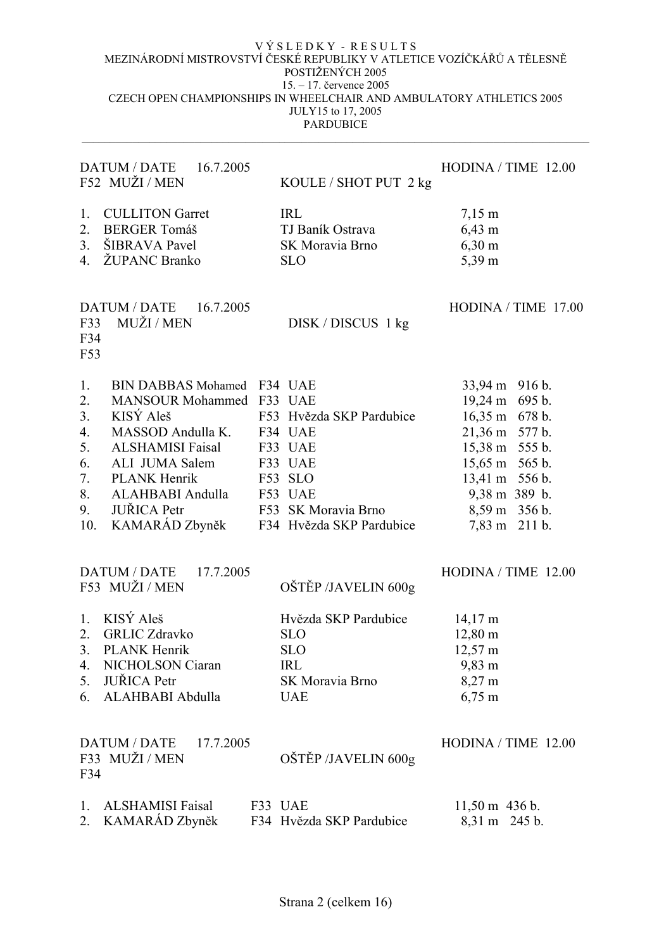| DATUM / DATE<br>16.7.2005<br>F52 MUŽI / MEN                                                                                                                                                                                                                         | KOULE / SHOT PUT 2 kg                                                                                                                             | HODINA / TIME 12.00                                                                                                                                                                     |
|---------------------------------------------------------------------------------------------------------------------------------------------------------------------------------------------------------------------------------------------------------------------|---------------------------------------------------------------------------------------------------------------------------------------------------|-----------------------------------------------------------------------------------------------------------------------------------------------------------------------------------------|
| <b>CULLITON Garret</b><br>1.<br>2.<br><b>BERGER Tomáš</b><br>ŠIBRAVA Pavel<br>3.<br><b>ŽUPANC Branko</b><br>4.                                                                                                                                                      | <b>IRL</b><br>TJ Baník Ostrava<br>SK Moravia Brno<br><b>SLO</b>                                                                                   | $7,15 \; \text{m}$<br>$6,43 \; \text{m}$<br>$6,30 \; \rm{m}$<br>5,39 m                                                                                                                  |
| <b>DATUM / DATE</b><br>16.7.2005<br>MUŽI / MEN<br>F33<br>F34<br>F53                                                                                                                                                                                                 | DISK / DISCUS 1 kg                                                                                                                                | HODINA / TIME 17.00                                                                                                                                                                     |
| 1.<br>BIN DABBAS Mohamed F34 UAE<br>2.<br>MANSOUR Mohammed F33 UAE<br>KISÝ Aleš<br>3.<br>4.<br>MASSOD Andulla K.<br>5.<br><b>ALSHAMISI Faisal</b><br>6.<br>ALI JUMA Salem<br>7.<br><b>PLANK Henrik</b><br>8.<br>ALAHBABI Andulla<br><b>JUŘICA Petr</b><br>9.<br>10. | F53 Hvězda SKP Pardubice<br>F34 UAE<br>F33 UAE<br>F33 UAE<br>F53 SLO<br>F53 UAE<br>F53 SK Moravia Brno<br>KAMARÁD Zbyněk F34 Hvězda SKP Pardubice | 33,94 m 916 b.<br>19,24 m 695 b.<br>16,35 m 678 b.<br>21,36 m 577 b.<br>15,38 m 555 b.<br>15,65 m 565 b.<br>13,41 m 556 b.<br>$9,38 \text{ m}$ 389 b.<br>8,59 m 356 b.<br>7,83 m 211 b. |
| DATUM / DATE 17.7.2005<br>F53 MUŽI/MEN                                                                                                                                                                                                                              | OŠTĚP /JAVELIN 600g                                                                                                                               | HODINA / TIME 12.00                                                                                                                                                                     |
| 1. KISÝ Aleš<br><b>GRLIC Zdravko</b><br>2.<br>3.<br><b>PLANK Henrik</b><br>NICHOLSON Ciaran<br>4.<br><b>JUŘICA</b> Petr<br>5.<br>ALAHBABI Abdulla<br>6.                                                                                                             | Hvězda SKP Pardubice<br><b>SLO</b><br><b>SLO</b><br><b>IRL</b><br>SK Moravia Brno<br><b>UAE</b>                                                   | $14,17 \text{ m}$<br>$12,80 \text{ m}$<br>$12,57 \text{ m}$<br>$9,83 \; \mathrm{m}$<br>8,27 m<br>$6,75 \; \rm{m}$                                                                       |
| <b>DATUM / DATE</b><br>17.7.2005<br>F33 MUŽI/MEN<br>F34                                                                                                                                                                                                             | OŠTĚP /JAVELIN 600g                                                                                                                               | HODINA / TIME 12.00                                                                                                                                                                     |
| <b>ALSHAMISI Faisal</b><br>$\mathbf{L}$<br>KAMARÁD Zbyněk<br>2.                                                                                                                                                                                                     | F33 UAE<br>F34 Hvězda SKP Pardubice                                                                                                               | $11,50 \text{ m}$ 436 b.<br>8,31 m 245 b.                                                                                                                                               |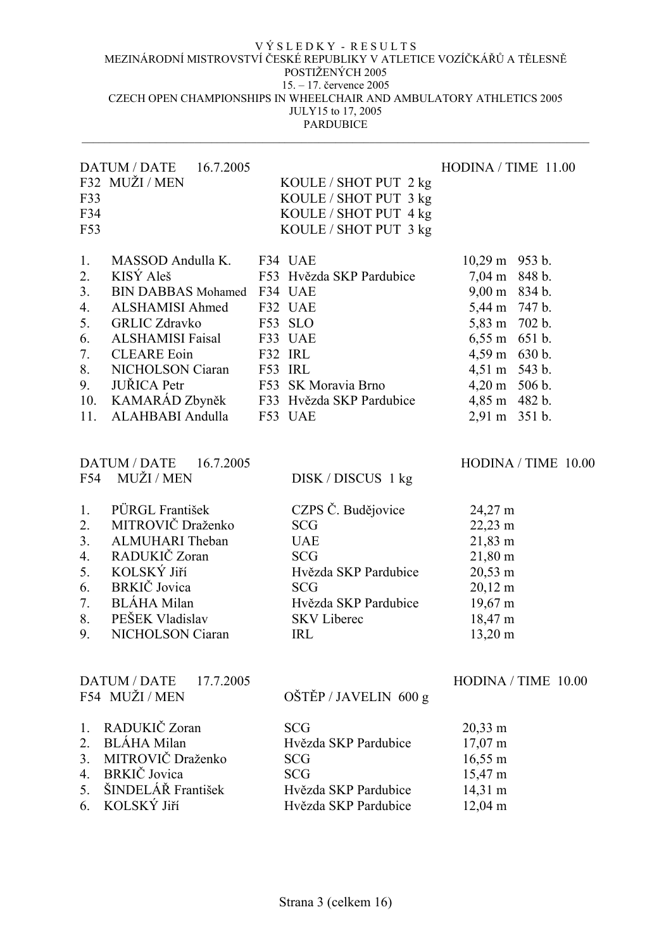| F33<br>F34<br>F53                                                            | DATUM / DATE 16.7.2005<br>F32 MUŽI / MEN                                                                                                                                                                                                               | KOULE / SHOT PUT 2 kg<br>KOULE / SHOT PUT 3 kg<br>KOULE / SHOT PUT 4 kg<br>KOULE / SHOT PUT 3 kg                                                               | HODINA / TIME 11.00                                                                                                                                                                                          |
|------------------------------------------------------------------------------|--------------------------------------------------------------------------------------------------------------------------------------------------------------------------------------------------------------------------------------------------------|----------------------------------------------------------------------------------------------------------------------------------------------------------------|--------------------------------------------------------------------------------------------------------------------------------------------------------------------------------------------------------------|
| 1.<br>2.<br>3 <sub>1</sub><br>4.<br>5.<br>6.<br>7.<br>8.<br>9.<br>10.<br>11. | MASSOD Andulla K. F34 UAE<br>KISÝ Aleš<br><b>BIN DABBAS Mohamed</b><br><b>ALSHAMISI Ahmed</b><br><b>GRLIC Zdravko</b><br><b>ALSHAMISI Faisal</b><br><b>CLEARE</b> Eoin<br>NICHOLSON Ciaran<br><b>JUŘICA</b> Petr<br>KAMARÁD Zbyněk<br>ALAHBABI Andulla | F53 Hvězda SKP Pardubice<br>F34 UAE<br>F32 UAE<br>F53 SLO<br>F33 UAE<br>F32 IRL<br>F53 IRL<br>F53 SK Moravia Brno<br>F33 Hvězda SKP Pardubice<br>F53 UAE       | $10,29 \text{ m}$ 953 b.<br>7,04 m 848 b.<br>9,00 m 834 b.<br>5,44 m 747 b.<br>5,83 m 702 b.<br>6,55 m 651 b.<br>4,59 m 630 b.<br>4,51 m 543 b.<br>$4,20 \text{ m}$ 506 b.<br>4,85 m 482 b.<br>2,91 m 351 b. |
|                                                                              | <b>DATUM / DATE</b><br>16.7.2005<br>F54 MUŽI / MEN                                                                                                                                                                                                     | DISK / DISCUS 1 kg                                                                                                                                             | $HODINA / TIME$ 10.00                                                                                                                                                                                        |
| 1.<br>2.<br>3.<br>4.<br>5.<br>6.<br>7.<br>8.<br>9.                           | PÜRGL František<br>MITROVIČ Draženko<br>ALMUHARI Theban<br>RADUKIČ Zoran<br>KOLSKÝ Jiří<br>BRKIČ Jovica<br><b>BLÁHA</b> Milan<br>PEŠEK Vladislav<br>NICHOLSON Ciaran                                                                                   | CZPS Č. Budějovice<br><b>SCG</b><br><b>UAE</b><br><b>SCG</b><br>Hvězda SKP Pardubice<br><b>SCG</b><br>Hvězda SKP Pardubice<br><b>SKV</b> Liberec<br><b>IRL</b> | $24,27 \text{ m}$<br>22,23 m<br>21,83 m<br>$21,80 \; \text{m}$<br>20,53 m<br>$20,12 \; \text{m}$<br>19,67 m<br>18,47 m<br>13,20 m                                                                            |
|                                                                              | <b>DATUM / DATE</b><br>17.7.2005<br>F54 MUŽI / MEN                                                                                                                                                                                                     | OŠTĚP / JAVELIN 600 g                                                                                                                                          | HODINA / TIME 10.00                                                                                                                                                                                          |
| 1.<br>2.<br>3.<br>4.<br>5.<br>6.                                             | RADUKIČ Zoran<br><b>BLÁHA</b> Milan<br>MITROVIČ Draženko<br>BRKIČ Jovica<br>ŠINDELÁŘ František<br>KOLSKÝ Jiří                                                                                                                                          | <b>SCG</b><br>Hvězda SKP Pardubice<br><b>SCG</b><br><b>SCG</b><br>Hvězda SKP Pardubice<br>Hvězda SKP Pardubice                                                 | $20,33 \; \text{m}$<br>$17,07 \text{ m}$<br>$16,55 \; \text{m}$<br>15,47 m<br>14,31 m<br>$12,04 \text{ m}$                                                                                                   |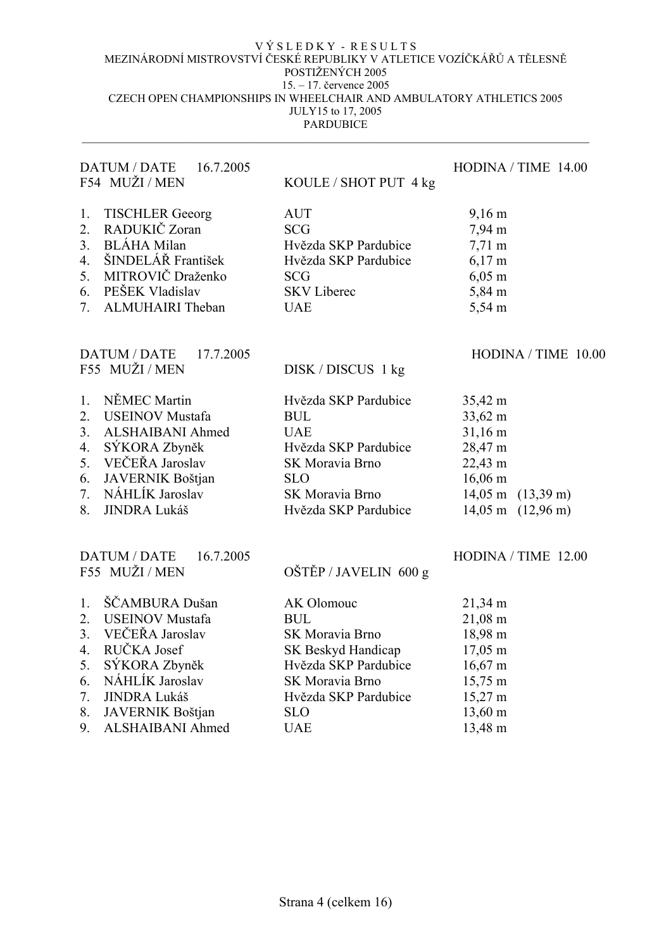| $9,16 \text{ m}$<br>7,94 m<br>$7,71 \text{ m}$<br>$6,17 \; \mathrm{m}$<br>$6,05 \; \rm{m}$<br>5,84 m<br>5,54 m                                                       |
|----------------------------------------------------------------------------------------------------------------------------------------------------------------------|
|                                                                                                                                                                      |
| HODINA / TIME 10.00                                                                                                                                                  |
| 35,42 m<br>33,62 m<br>31,16 m<br>28,47 m<br>22,43 m<br>$16,06 \text{ m}$<br>$14,05 \; \text{m}$<br>$(13,39 \text{ m})$<br>$14,05 \; \text{m}$<br>$(12,96 \text{ m})$ |
| HODINA / TIME 12.00                                                                                                                                                  |
| 21,34 m<br>$21,08 \text{ m}$<br>18,98 m<br>$17,05 \; \text{m}$<br>$16,67 \text{ m}$<br>$15,75 \text{ m}$<br>$15,27 \text{ m}$<br>13,60 m                             |
| 13,48 m                                                                                                                                                              |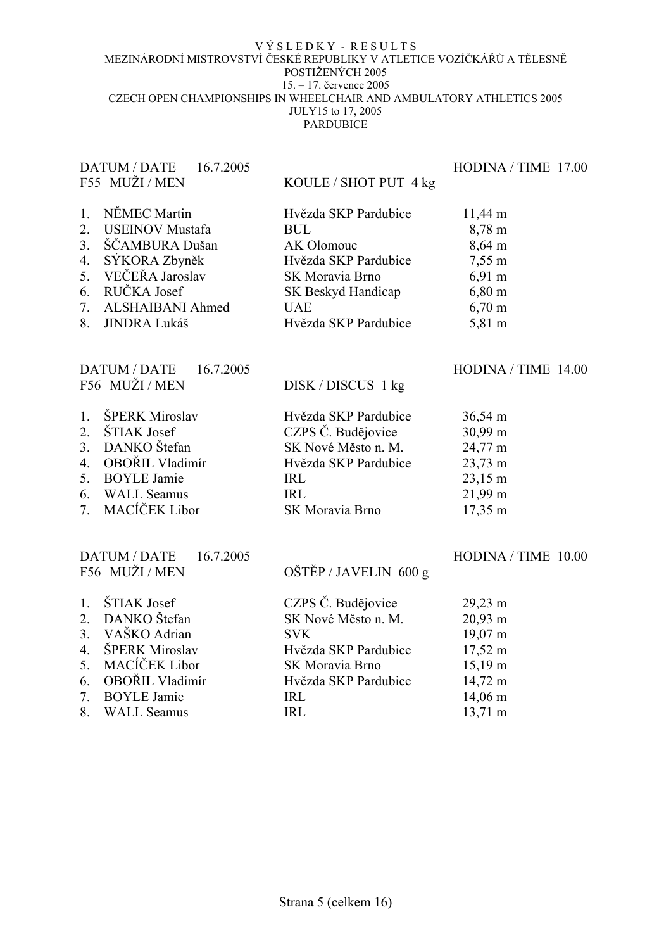| <b>DATUM / DATE</b><br>16.7.2005<br>F55 MUŽI / MEN                                                                                                                                                                 |                                                                                                                                                                                  | HODINA / TIME 17.00                                                                                                       |
|--------------------------------------------------------------------------------------------------------------------------------------------------------------------------------------------------------------------|----------------------------------------------------------------------------------------------------------------------------------------------------------------------------------|---------------------------------------------------------------------------------------------------------------------------|
| NĚMEC Martin<br>1.<br>2.<br><b>USEINOV Mustafa</b><br>ŠČAMBURA Dušan<br>3 <sub>1</sub><br>4.<br>SÝKORA Zbyněk<br>VEČEŘA Jaroslav<br>5.<br>RUČKA Josef<br>6.<br>7.<br>ALSHAIBANI Ahmed<br>8.<br><b>JINDRA Lukáš</b> | KOULE / SHOT PUT 4 kg<br>Hvězda SKP Pardubice<br><b>BUL</b><br>AK Olomouc<br>Hvězda SKP Pardubice<br>SK Moravia Brno<br>SK Beskyd Handicap<br><b>UAE</b><br>Hvězda SKP Pardubice | $11,44 \text{ m}$<br>8,78 m<br>8,64 m<br>7,55 m<br>$6,91 \text{ m}$<br>$6,80 \; \rm{m}$<br>$6,70 \; \mathrm{m}$<br>5,81 m |
| DATUM / DATE<br>16.7.2005<br>F56 MUŽI / MEN                                                                                                                                                                        | DISK / DISCUS 1 kg                                                                                                                                                               | HODINA / TIME 14.00                                                                                                       |
| ŠPERK Miroslav<br>1.<br>ŠTIAK Josef<br>2.<br>DANKO Štefan<br>3.<br>OBOŘIL Vladimír<br>4.<br><b>BOYLE Jamie</b><br>5.<br><b>WALL Seamus</b><br>6.<br>MACÍČEK Libor<br>7.                                            | Hvězda SKP Pardubice<br>CZPS Č. Budějovice<br>SK Nové Město n. M.<br>Hvězda SKP Pardubice<br><b>IRL</b><br><b>IRL</b><br>SK Moravia Brno                                         | $36,54 \text{ m}$<br>30,99 m<br>24,77 m<br>23,73 m<br>$23,15 \text{ m}$<br>21,99 m<br>17,35 m                             |
| <b>DATUM / DATE</b><br>16.7.2005<br>F56 MUŽI / MEN                                                                                                                                                                 | OŠTĚP / JAVELIN 600 g                                                                                                                                                            | HODINA / TIME 10.00                                                                                                       |
| ŠTIAK Josef<br>1.<br>DANKO Štefan<br>2.<br>VAŠKO Adrian<br>3 <sub>1</sub><br>ŠPERK Miroslav<br>4.<br>MACÍČEK Libor<br>5.<br>OBOŘIL Vladimír<br>6.<br>7.<br><b>BOYLE Jamie</b>                                      | CZPS Č. Budějovice<br>SK Nové Město n. M.<br><b>SVK</b><br>Hvězda SKP Pardubice<br>SK Moravia Brno<br>Hvězda SKP Pardubice<br><b>IRL</b>                                         | 29,23 m<br>20,93 m<br>19,07 m<br>17,52 m<br>$15,19 \text{ m}$<br>14,72 m<br>14,06 m                                       |
| 8.<br><b>WALL Seamus</b>                                                                                                                                                                                           | <b>IRL</b>                                                                                                                                                                       | $13,71 \text{ m}$                                                                                                         |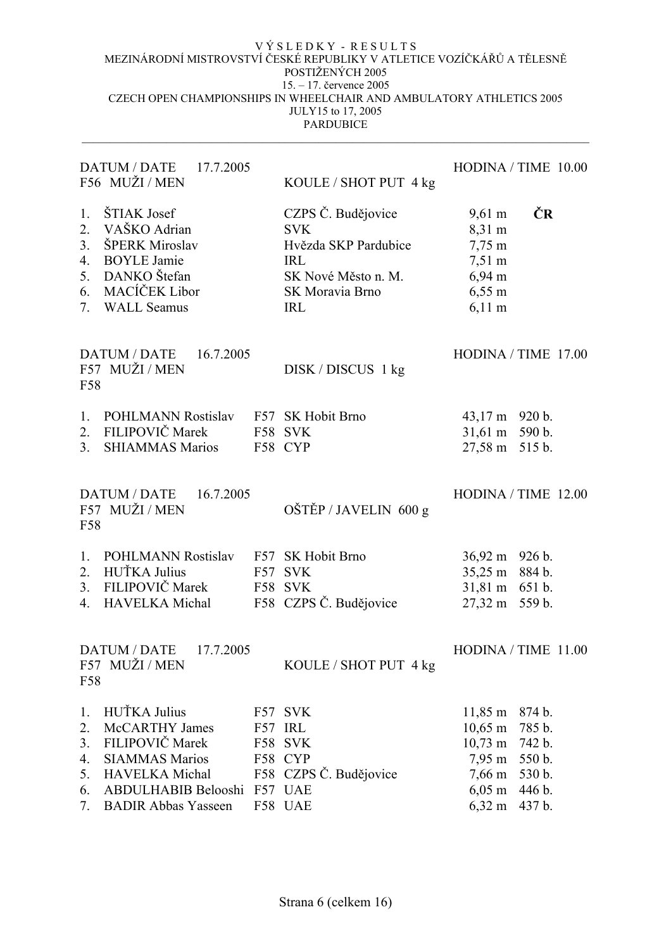|                                        | DATUM / DATE 17.7.2005<br>F56 MUŽI / MEN                                                                                                                               |     | KOULE / SHOT PUT 4 kg                                                                                                          | HODINA / TIME 10.00                                                                                                                                                                                             |
|----------------------------------------|------------------------------------------------------------------------------------------------------------------------------------------------------------------------|-----|--------------------------------------------------------------------------------------------------------------------------------|-----------------------------------------------------------------------------------------------------------------------------------------------------------------------------------------------------------------|
| 1.<br>2.<br>3 <sub>1</sub><br>6.       | ŠTIAK Josef<br>VAŠKO Adrian<br>ŠPERK Miroslav<br>4. BOYLE Jamie<br>5. DANKO Štefan<br>MACÍČEK Libor<br>7. WALL Seamus                                                  |     | CZPS Č. Budějovice<br><b>SVK</b><br>Hvězda SKP Pardubice<br><b>IRL</b><br>SK Nové Město n. M.<br>SK Moravia Brno<br><b>IRL</b> | ČR<br>$9,61 \text{ m}$<br>8,31 m<br>$7,75 \; \text{m}$<br>$7,51 \text{ m}$<br>$6,94 \text{ m}$<br>$6,55 \; \mathrm{m}$<br>$6,11 \text{ m}$                                                                      |
| F58                                    | DATUM / DATE 16.7.2005<br>F57 MUŽI / MEN                                                                                                                               |     | DISK / DISCUS 1 kg                                                                                                             | HODINA / TIME 17.00                                                                                                                                                                                             |
| $1_{\cdot}$<br>2.<br>3 <sub>1</sub>    | POHLMANN Rostislav F57 SK Hobit Brno<br>FILIPOVIČ Marek<br><b>SHIAMMAS Marios</b>                                                                                      |     | F58 SVK<br>F58 CYP                                                                                                             | $43,17 \text{ m}$ 920 b.<br>31,61 m 590 b.<br>27,58 m 515 b.                                                                                                                                                    |
| F58                                    | DATUM / DATE 16.7.2005<br>F57 MUŽI / MEN                                                                                                                               |     | OŠTĚP / JAVELIN 600 g                                                                                                          | HODINA / TIME 12.00                                                                                                                                                                                             |
| 1.<br>4.                               | POHLMANN Rostislav F57 SK Hobit Brno<br>2. HUŤKA Julius<br>3. FILIPOVIČ Marek<br><b>HAVELKA</b> Michal                                                                 |     | F57 SVK<br>F58 SVK<br>F58 CZPS Č. Budějovice                                                                                   | 36,92 m 926 b.<br>35,25 m 884 b.<br>31,81 m 651 b.<br>27,32 m 559 b.                                                                                                                                            |
| F58                                    | DATUM / DATE<br>17.7.2005<br>F57 MUŽI / MEN                                                                                                                            |     | KOULE / SHOT PUT 4 kg                                                                                                          | HODINA / TIME 11.00                                                                                                                                                                                             |
| 1.<br>2.<br>3.<br>4.<br>5.<br>6.<br>7. | HUŤKA Julius<br><b>McCARTHY James</b><br>FILIPOVIČ Marek<br><b>SIAMMAS Marios</b><br><b>HAVELKA</b> Michal<br><b>ABDULHABIB Belooshi</b><br><b>BADIR Abbas Yasseen</b> | F57 | F57 SVK<br>IRL<br>F58 SVK<br>F58 CYP<br>F58 CZPS Č. Budějovice<br>F57 UAE<br>F58 UAE                                           | $11,85 \; \text{m}$<br>874 b.<br>$10,65 \; \text{m}$<br>785 b.<br>$10,73 \; \text{m}$<br>742 b.<br>7,95 m<br>550 b.<br>$7,66 \; \text{m}$<br>530 b.<br>$6,05 \; \rm{m}$<br>446 b.<br>$6,32 \; \rm{m}$<br>437 b. |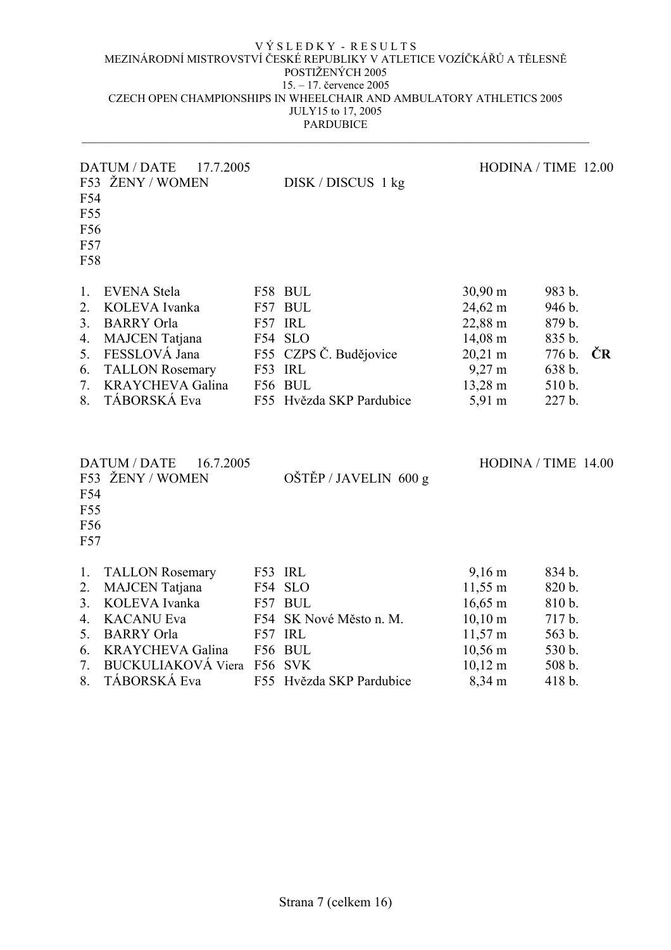| F54<br>F55<br>F56<br>F57<br><b>F58</b>       | DATUM / DATE<br>17.7.2005<br>F53 ŽENY / WOMEN                                                                                                                                              |     | $DISK / DISCUS$ 1 kg                                                                                                 |                                                                                                                                                      | HODINA / TIME 12.00                                                          |    |
|----------------------------------------------|--------------------------------------------------------------------------------------------------------------------------------------------------------------------------------------------|-----|----------------------------------------------------------------------------------------------------------------------|------------------------------------------------------------------------------------------------------------------------------------------------------|------------------------------------------------------------------------------|----|
| 1.<br>2.<br>3.<br>4.<br>5.<br>6.<br>7.<br>8. | <b>EVENA</b> Stela<br>KOLEVA Ivanka<br><b>BARRY</b> Orla<br><b>MAJCEN</b> Tatjana<br>FESSLOVÁ Jana<br><b>TALLON Rosemary</b><br><b>KRAYCHEVA Galina</b><br>TÁBORSKÁ Eva                    |     | F58 BUL<br>F57 BUL<br>F57 IRL<br>F54 SLO<br>F55 CZPS Č. Budějovice<br>F53 IRL<br>F56 BUL<br>F55 Hvězda SKP Pardubice | 30,90 m<br>24,62 m<br>22,88 m<br>14,08 m<br>$20,21 \text{ m}$<br>$9,27 \text{ m}$<br>13,28 m<br>5,91 m                                               | 983 b.<br>946 b.<br>879 b.<br>835 b.<br>776 b.<br>638 b.<br>510 b.<br>227 b. | ČR |
| F54<br>F55<br>F56<br>F57                     | <b>DATUM / DATE</b><br>16.7.2005<br>F53 ŽENY / WOMEN                                                                                                                                       |     | OŠTĚP / JAVELIN 600 g                                                                                                |                                                                                                                                                      | HODINA / TIME 14.00                                                          |    |
| 1.<br>2.<br>3.<br>4.<br>5.<br>6.<br>7.<br>8. | <b>TALLON Rosemary</b><br><b>MAJCEN</b> Tatjana<br>KOLEVA Ivanka<br><b>KACANU Eva</b><br><b>BARRY</b> Orla<br><b>KRAYCHEVA Galina</b><br>BUCKULIAKOVÁ Viera F56 SVK<br><b>TÁBORSKÁ Eva</b> | F54 | F53 IRL<br>F54 SLO<br>F57 BUL<br>SK Nové Město n. M.<br>F57 IRL<br>F56 BUL<br>F55 Hvězda SKP Pardubice               | $9,16 \; \rm{m}$<br>11,55 m<br>$16,65 \; \text{m}$<br>$10,10 \; \text{m}$<br>$11,57 \text{ m}$<br>$10,56 \text{ m}$<br>$10,12 \; \text{m}$<br>8,34 m | 834 b.<br>820 b.<br>810 b.<br>717 b.<br>563 b.<br>530 b.<br>508 b.<br>418 b. |    |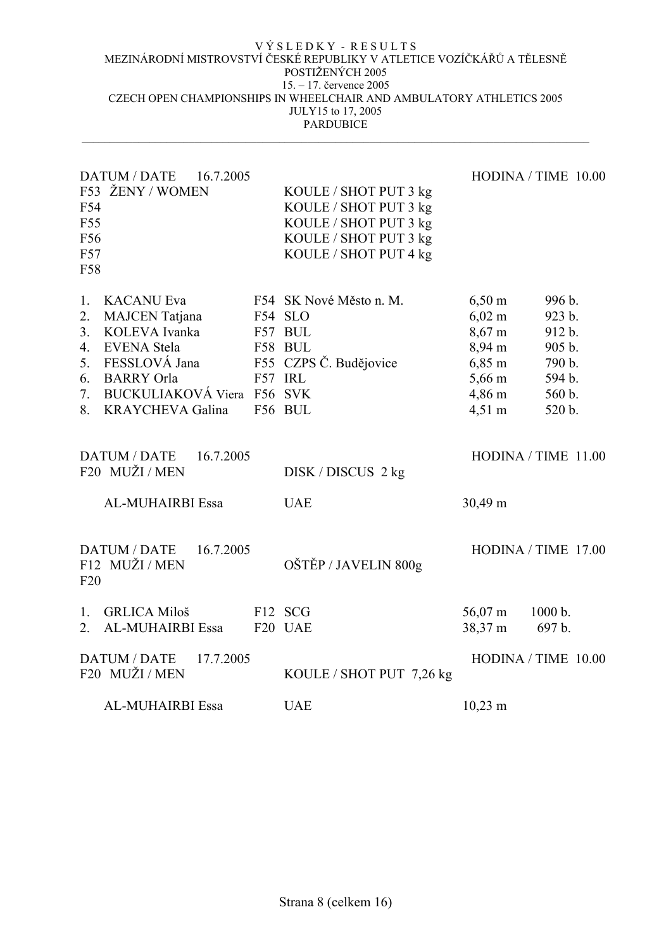| F54<br>F55<br>F56<br>F57<br>F58              | <b>DATUM / DATE</b><br>16.7.2005<br>F53 ŽENY / WOMEN                                                                                                                             |         | KOULE / SHOT PUT 3 kg<br>KOULE / SHOT PUT 3 kg<br>KOULE / SHOT PUT 3 kg<br>KOULE / SHOT PUT 3 kg<br>KOULE / SHOT PUT 4 kg |                                                                                                                                                                | HODINA / TIME 10.00                                                          |
|----------------------------------------------|----------------------------------------------------------------------------------------------------------------------------------------------------------------------------------|---------|---------------------------------------------------------------------------------------------------------------------------|----------------------------------------------------------------------------------------------------------------------------------------------------------------|------------------------------------------------------------------------------|
| 1.<br>2.<br>3.<br>4.<br>5.<br>6.<br>7.<br>8. | <b>KACANU Eva</b><br><b>MAJCEN</b> Tatjana<br>KOLEVA Ivanka<br><b>EVENA Stela</b><br>FESSLOVÁ Jana<br><b>BARRY</b> Orla<br>BUCKULIAKOVÁ Viera F56 SVK<br><b>KRAYCHEVA Galina</b> | F57 IRL | F54 SK Nové Město n. M.<br>F54 SLO<br>F57 BUL<br>F58 BUL<br>F55 CZPS Č. Budějovice<br>F56 BUL                             | $6,50 \; \rm{m}$<br>$6,02 \; \rm{m}$<br>$8,67 \; \mathrm{m}$<br>8,94 m<br>$6,85 \; \mathrm{m}$<br>$5,66 \text{ m}$<br>$4,86 \; \mathrm{m}$<br>$4,51 \text{ m}$ | 996 b.<br>923 b.<br>912 b.<br>905 b.<br>790 b.<br>594 b.<br>560 b.<br>520 b. |
|                                              | <b>DATUM / DATE</b><br>16.7.2005<br>F20 MUŽI / MEN                                                                                                                               |         | DISK / DISCUS 2 kg                                                                                                        |                                                                                                                                                                | HODINA / TIME 11.00                                                          |
|                                              | AL-MUHAIRBI Essa                                                                                                                                                                 |         | <b>UAE</b>                                                                                                                | 30,49 m                                                                                                                                                        |                                                                              |
| F20                                          | DATUM / DATE<br>16.7.2005<br>F12 MUŽI / MEN                                                                                                                                      |         | OŠTĚP / JAVELIN 800g                                                                                                      |                                                                                                                                                                | HODINA / TIME 17.00                                                          |
| $\mathbf{1}$<br>2.                           | <b>GRLICA Miloš</b><br>AL-MUHAIRBI Essa                                                                                                                                          |         | F12 SCG<br>F <sub>20</sub> UAE                                                                                            | 56,07 m<br>38,37 m                                                                                                                                             | 1000 b.<br>697 b.                                                            |
|                                              | <b>DATUM / DATE</b><br>17.7.2005<br>F20 MUŽI / MEN                                                                                                                               |         | KOULE / SHOT PUT 7,26 kg                                                                                                  |                                                                                                                                                                | HODINA / TIME 10.00                                                          |
|                                              | <b>AL-MUHAIRBI Essa</b>                                                                                                                                                          |         | <b>UAE</b>                                                                                                                | $10,23 \; \text{m}$                                                                                                                                            |                                                                              |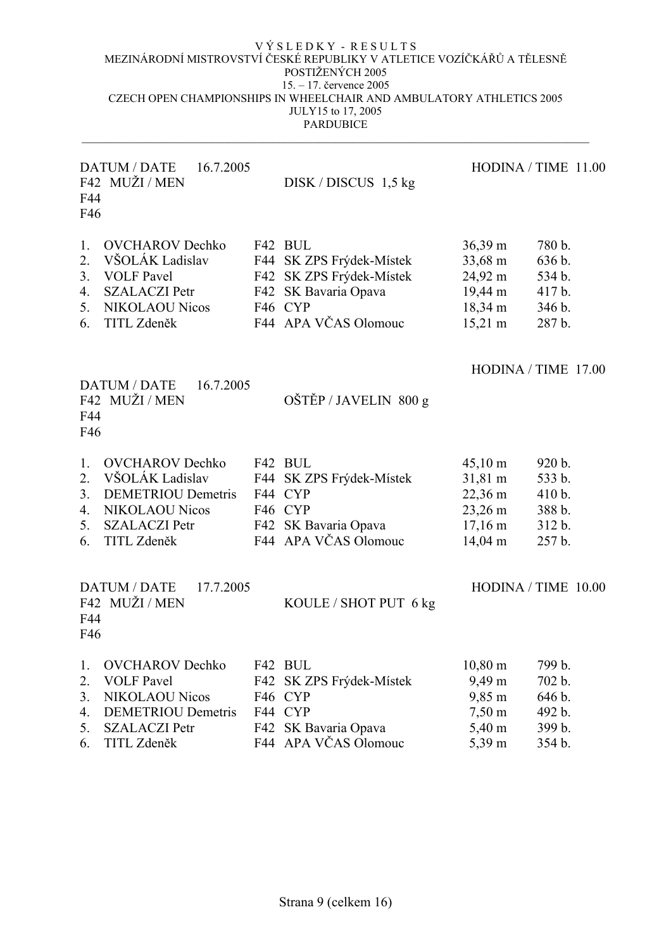| F44<br>F46                       | <b>DATUM / DATE</b><br>16.7.2005<br>F42 MUŽI/MEN                                                                                         |                          | $DISK / DISCUS$ 1,5 kg                                                                                                 |                                                                                                | HODINA / TIME 11.00                                      |
|----------------------------------|------------------------------------------------------------------------------------------------------------------------------------------|--------------------------|------------------------------------------------------------------------------------------------------------------------|------------------------------------------------------------------------------------------------|----------------------------------------------------------|
| 1.<br>2.<br>3.<br>4.<br>5.<br>6. | <b>OVCHAROV</b> Dechko<br>VŠOLÁK Ladislav<br><b>VOLF Pavel</b><br><b>SZALACZI Petr</b><br><b>NIKOLAOU Nicos</b><br>TITL Zdeněk           | F42                      | F42 BUL<br>F44 SK ZPS Frýdek-Místek<br>SK ZPS Frýdek-Místek<br>F42 SK Bavaria Opava<br>F46 CYP<br>F44 APA VČAS Olomouc | $36,39 \text{ m}$<br>33,68 m<br>24,92 m<br>$19,44 \text{ m}$<br>18,34 m<br>$15,21 \text{ m}$   | 780 b.<br>636 b.<br>534 b.<br>417 b.<br>346 b.<br>287 b. |
| F44<br>F46                       | 16.7.2005<br>DATUM / DATE<br>F42 MUŽI / MEN                                                                                              |                          | OŠTĚP / JAVELIN 800 g                                                                                                  |                                                                                                | HODINA / TIME 17.00                                      |
| 1.<br>2.<br>3.<br>4.<br>5.<br>6. | <b>OVCHAROV</b> Dechko<br>VŠOLÁK Ladislav<br><b>DEMETRIOU Demetris</b><br><b>NIKOLAOU Nicos</b><br><b>SZALACZI Petr</b><br>TITL Zdeněk   |                          | F42 BUL<br>F44 SK ZPS Frýdek-Místek<br>F44 CYP<br>F46 CYP<br>F42 SK Bavaria Opava<br>F44 APA VČAS Olomouc              | $45,10 \text{ m}$<br>31,81 m<br>$22,36 \text{ m}$<br>23,26 m<br>$17,16 \; \text{m}$<br>14,04 m | 920 b.<br>533 b.<br>410 b.<br>388 b.<br>312 b.<br>257 b. |
| F44<br>F46                       | 17.7.2005<br><b>DATUM / DATE</b><br>F42 MUŽI / MEN                                                                                       |                          | KOULE / SHOT PUT 6 kg                                                                                                  |                                                                                                | HODINA / TIME 10.00                                      |
| 1.<br>2.<br>3.<br>4.<br>5.<br>6. | <b>OVCHAROV</b> Dechko<br><b>VOLF Pavel</b><br><b>NIKOLAOU Nicos</b><br><b>DEMETRIOU</b> Demetris<br><b>SZALACZI Petr</b><br>TITL Zdeněk | F42<br>F42<br>F42<br>F44 | BUL<br>SK ZPS Frýdek-Místek<br>F46 CYP<br>F44 CYP<br>SK Bavaria Opava<br>APA VČAS Olomouc                              | $10,80 \; \text{m}$<br>9,49 m<br>9,85 m<br>$7,50 \text{ m}$<br>5,40 m<br>5,39 m                | 799 b.<br>702 b.<br>646 b.<br>492 b.<br>399 b.<br>354 b. |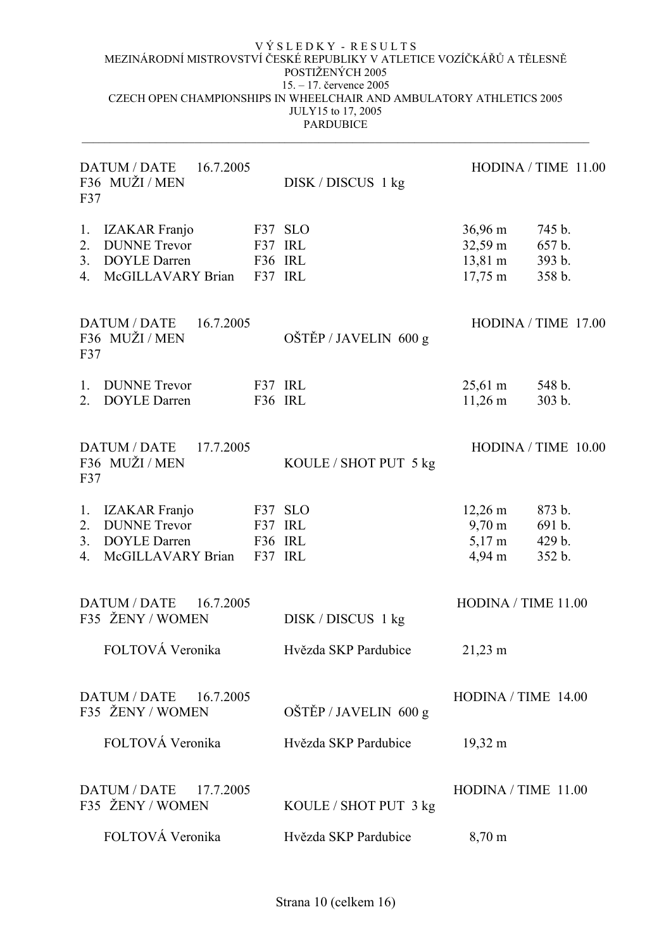| F37                                | <b>DATUM / DATE</b><br>16.7.2005<br>F36 MUŽI / MEN                                      |                               | $DISK / DISCUS$ 1 kg  |                                                                                    | HODINA / TIME 11.00                  |
|------------------------------------|-----------------------------------------------------------------------------------------|-------------------------------|-----------------------|------------------------------------------------------------------------------------|--------------------------------------|
| 1.<br>2.<br>3.<br>4.               | <b>IZAKAR</b> Franjo<br><b>DUNNE</b> Trevor<br><b>DOYLE Darren</b><br>McGILLAVARY Brian | F37 IRL<br>F36 IRL<br>F37 IRL | F37 SLO               | $36,96 \text{ m}$<br>$32,59 \text{ m}$<br>$13,81 \text{ m}$<br>$17,75 \; \text{m}$ | 745 b.<br>657 b.<br>393 b.<br>358 b. |
| F37                                | DATUM / DATE<br>16.7.2005<br>F36 MUŽI / MEN                                             |                               | OŠTĚP / JAVELIN 600 g |                                                                                    | HODINA / TIME 17.00                  |
| $\mathbf{1}$ .<br>$\overline{2}$ . | <b>DUNNE</b> Trevor<br><b>DOYLE Darren</b>                                              | F37 IRL<br>F36 IRL            |                       | $25,61 \text{ m}$<br>$11,26 \; \text{m}$                                           | 548 b.<br>303 b.                     |
| F37                                | DATUM / DATE<br>17.7.2005<br>F36 MUŽI / MEN                                             |                               | KOULE / SHOT PUT 5 kg |                                                                                    | HODINA / TIME 10.00                  |
| 1.                                 | <b>IZAKAR</b> Franjo                                                                    |                               | F37 SLO               | $12,26 \text{ m}$                                                                  | 873 b.                               |
| 2.                                 | <b>DUNNE</b> Trevor                                                                     | F37 IRL                       |                       | $9,70 \text{ m}$                                                                   | 691 b.                               |
| 3.<br>4.                           | <b>DOYLE Darren</b><br>McGILLAVARY Brian                                                | F36 IRL<br>F37 IRL            |                       | $5,17 \text{ m}$<br>$4,94 \; \text{m}$                                             | 429 b.<br>352 b.                     |
|                                    | <b>DATUM / DATE</b><br>16.7.2005<br>F35 ŽENY / WOMEN                                    |                               | DISK / DISCUS 1 kg    | HODINA / TIME 11.00                                                                |                                      |
|                                    | FOLTOVÁ Veronika                                                                        |                               | Hvězda SKP Pardubice  | $21,23 \; \text{m}$                                                                |                                      |
|                                    | <b>DATUM / DATE</b><br>16.7.2005<br>F35 ŽENY / WOMEN                                    |                               | OŠTĚP / JAVELIN 600 g | $HODINA / TIME$ 14.00                                                              |                                      |
|                                    | FOLTOVÁ Veronika                                                                        |                               | Hvězda SKP Pardubice  | $19,32 \text{ m}$                                                                  |                                      |
|                                    | <b>DATUM / DATE</b><br>17.7.2005<br>F35 ŽENY / WOMEN                                    |                               | KOULE / SHOT PUT 3 kg | $HODINA / TIME$ 11.00                                                              |                                      |
|                                    | FOLTOVÁ Veronika                                                                        |                               | Hvězda SKP Pardubice  | $8,70 \; \text{m}$                                                                 |                                      |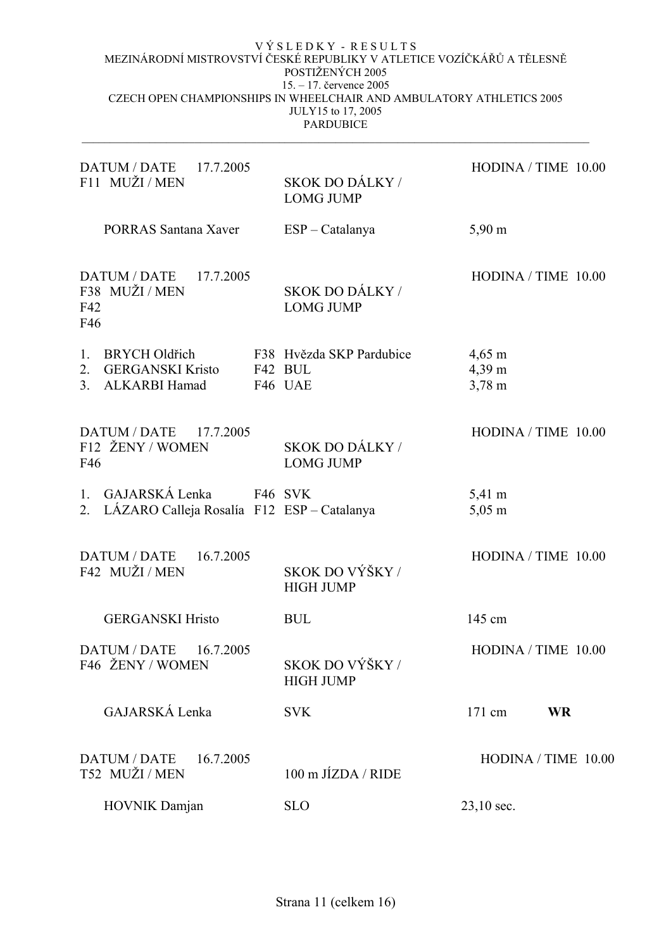| DATUM / DATE 17.7.2005<br>F11 MUŽI/MEN                                                   | SKOK DO DÁLKY /<br><b>LOMG JUMP</b>            | HODINA / TIME 10.00                                          |
|------------------------------------------------------------------------------------------|------------------------------------------------|--------------------------------------------------------------|
| <b>PORRAS Santana Xaver</b>                                                              | ESP – Catalanya                                | 5,90 m                                                       |
| DATUM / DATE<br>17.7.2005<br>F38 MUŽI/MEN<br>F42<br>F46                                  | <b>SKOK DO DÁLKY /</b><br><b>LOMG JUMP</b>     | HODINA / TIME 10.00                                          |
| <b>BRYCH Oldřich</b><br>$1_{\cdot}$<br>2. GERGANSKI Kristo<br><b>ALKARBI Hamad</b><br>3. | F38 Hvězda SKP Pardubice<br>F42 BUL<br>F46 UAE | $4,65 \; \mathrm{m}$<br>$4,39 \text{ m}$<br>$3,78 \text{ m}$ |
| <b>DATUM / DATE</b><br>17.7.2005<br>F12 ŽENY / WOMEN<br>F46                              | SKOK DO DÁLKY /<br><b>LOMG JUMP</b>            | HODINA / TIME 10.00                                          |
| 1. GAJARSKÁ Lenka<br>F46 SVK<br>2. LÁZARO Calleja Rosalía F12 ESP - Catalanya            |                                                | 5,41 m<br>$5,05 \; \text{m}$                                 |
| DATUM / DATE<br>16.7.2005<br>F42 MUŽI / MEN                                              | SKOK DO VÝŠKY /<br><b>HIGH JUMP</b>            | HODINA / TIME 10.00                                          |
| <b>GERGANSKI Hristo</b>                                                                  | <b>BUL</b>                                     | 145 cm                                                       |
| DATUM / DATE<br>16.7.2005<br>F46 ŽENY / WOMEN                                            | SKOK DO VÝŠKY /<br><b>HIGH JUMP</b>            | HODINA / TIME 10.00                                          |
| GAJARSKÁ Lenka                                                                           | <b>SVK</b>                                     | 171 cm<br><b>WR</b>                                          |
| <b>DATUM / DATE</b><br>16.7.2005<br>T52 MUŽI / MEN                                       | $100$ m JIZDA / RIDE                           | HODINA / TIME 10.00                                          |
| HOVNIK Damjan                                                                            | <b>SLO</b>                                     | 23,10 sec.                                                   |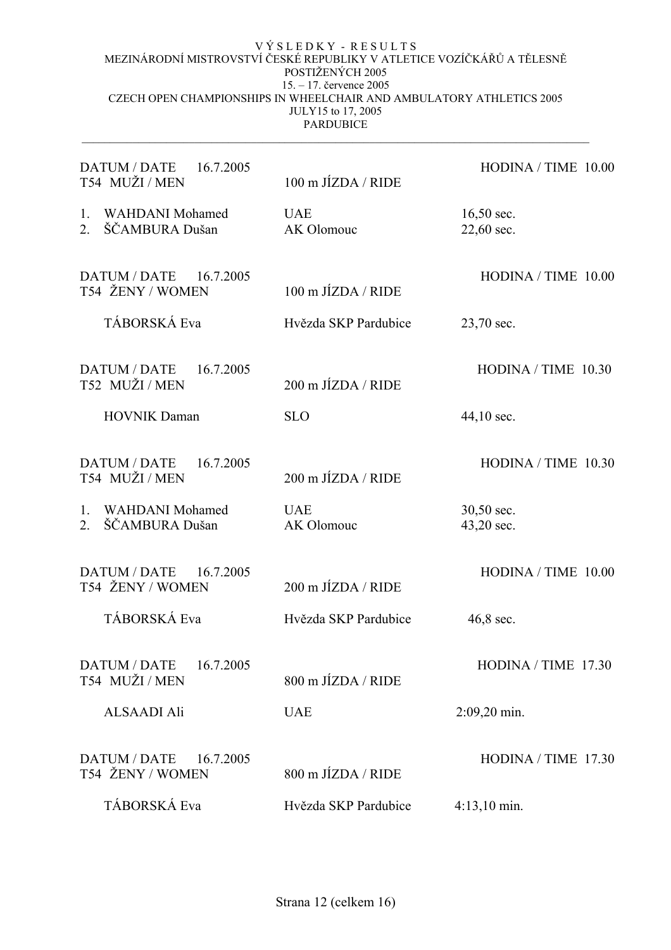| <b>DATUM / DATE</b><br>16.7.2005<br>T54 MUŽI / MEN                             | 100 m JÍZDA / RIDE              | HODINA / TIME 10.00        |
|--------------------------------------------------------------------------------|---------------------------------|----------------------------|
| <b>WAHDANI</b> Mohamed<br>$1_{\cdot}$<br>ŠČAMBURA Dušan<br>$2_{-}$             | <b>UAE</b><br>AK Olomouc        | $16,50$ sec.<br>22,60 sec. |
| <b>DATUM / DATE</b><br>16.7.2005<br>T54 ŽENY / WOMEN                           | $100 \text{ m JÍZDA}$ / RIDE    | HODINA / TIME 10.00        |
| TÁBORSKÁ Eva                                                                   | Hvězda SKP Pardubice            | 23,70 sec.                 |
| <b>DATUM / DATE</b><br>16.7.2005<br>T52 MUŽI / MEN                             | 200 m JÍZDA / RIDE              | HODINA / TIME 10.30        |
| <b>HOVNIK Daman</b>                                                            | <b>SLO</b>                      | 44,10 sec.                 |
| <b>DATUM / DATE</b><br>16.7.2005<br>T54 MUŽI / MEN                             | $200 \text{ m J}$ $(ZDA / RIDE$ | HODINA / TIME 10.30        |
| 1 <sub>1</sub><br><b>WAHDANI</b> Mohamed<br>ŠČAMBURA Dušan<br>$\overline{2}$ . | <b>UAE</b><br>AK Olomouc        | 30,50 sec.<br>43,20 sec.   |
| <b>DATUM / DATE</b><br>16.7.2005<br>T54 ŽENY / WOMEN                           | $200 \text{ m J}$ $(ZDA / RIDE$ | HODINA / TIME 10.00        |
| TÁBORSKÁ Eva                                                                   | Hvězda SKP Pardubice            | 46,8 sec.                  |
| <b>DATUM / DATE</b><br>16.7.2005<br>T54 MUŽI / MEN                             | 800 m JÍZDA / RIDE              | HODINA / TIME 17.30        |
| <b>ALSAADI Ali</b>                                                             | <b>UAE</b>                      | $2:09,20$ min.             |
| <b>DATUM / DATE</b><br>16.7.2005<br>T54 ŽENY / WOMEN                           | 800 m JÍZDA / RIDE              | HODINA / TIME 17.30        |
| TÁBORSKÁ Eva                                                                   | Hvězda SKP Pardubice            | $4:13,10 \text{ min.}$     |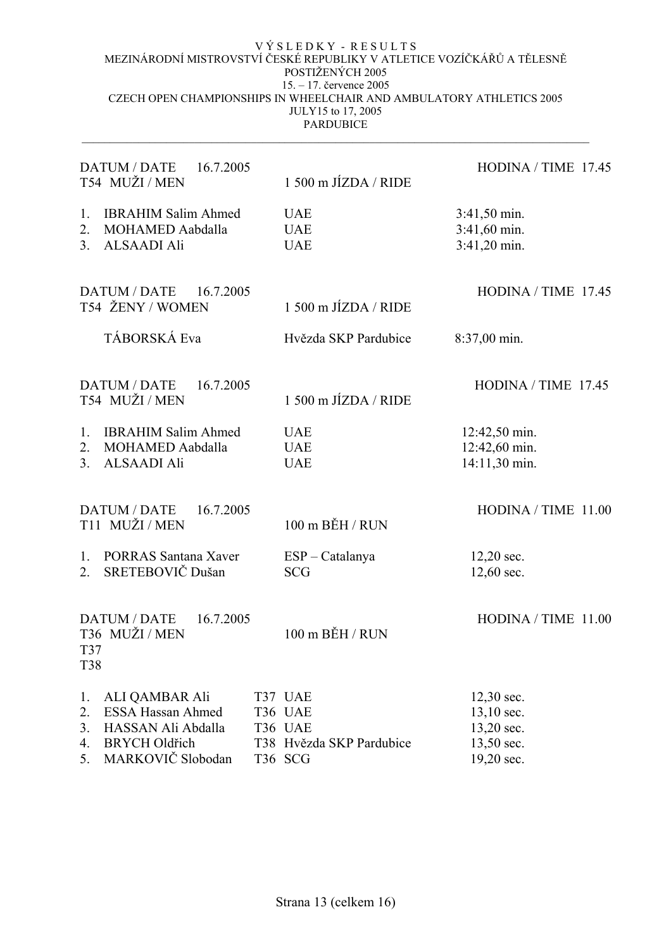| <b>DATUM / DATE</b><br>16.7.2005<br>T54 MUŽI/MEN                                                                                                   | 1 500 m JÍZDA / RIDE                                                 | HODINA / TIME 17.45                                                |
|----------------------------------------------------------------------------------------------------------------------------------------------------|----------------------------------------------------------------------|--------------------------------------------------------------------|
| <b>IBRAHIM Salim Ahmed</b><br>1.<br>2.<br><b>MOHAMED Aabdalla</b><br><b>ALSAADI Ali</b><br>3.                                                      | <b>UAE</b><br><b>UAE</b><br><b>UAE</b>                               | $3:41,50 \text{ min.}$<br>3:41,60 min.<br>3:41,20 min.             |
| <b>DATUM / DATE</b><br>16.7.2005<br>T54 ŽENY / WOMEN                                                                                               | $1500$ m J $IZDA$ / RIDE                                             | HODINA / TIME 17.45                                                |
| TÁBORSKÁ Eva                                                                                                                                       | Hvězda SKP Pardubice                                                 | 8:37,00 min.                                                       |
| <b>DATUM / DATE</b><br>16.7.2005<br>T54 MUŽI/MEN                                                                                                   | 1 500 m JÍZDA / RIDE                                                 | HODINA / TIME 17.45                                                |
| <b>IBRAHIM Salim Ahmed</b><br>1.<br><b>MOHAMED Aabdalla</b><br>2.<br><b>ALSAADI Ali</b><br>3.                                                      | <b>UAE</b><br><b>UAE</b><br><b>UAE</b>                               | 12:42,50 min.<br>12:42,60 min.<br>14:11,30 min.                    |
| <b>DATUM / DATE</b><br>16.7.2005<br>T11 MUŽI/MEN                                                                                                   | 100 m BĚH / RUN                                                      | HODINA / TIME 11.00                                                |
| <b>PORRAS Santana Xaver</b><br>1.<br>SRETEBOVIČ Dušan<br>$2_{-}$                                                                                   | ESP - Catalanya<br><b>SCG</b>                                        | $12,20$ sec.<br>12,60 sec.                                         |
| <b>DATUM / DATE</b><br>16.7.2005<br>T36 MUŽI / MEN<br>T37<br>T38                                                                                   | $100 \text{ m}$ BĚH / RUN                                            | HODINA / TIME $11.00$                                              |
| <b>ALI QAMBAR Ali</b><br>1.<br><b>ESSA Hassan Ahmed</b><br>2.<br>HASSAN Ali Abdalla<br>3.<br><b>BRYCH Oldřich</b><br>4.<br>MARKOVIČ Slobodan<br>5. | T37 UAE<br>T36 UAE<br>T36 UAE<br>T38 Hvězda SKP Pardubice<br>T36 SCG | 12,30 sec.<br>13,10 sec.<br>13,20 sec.<br>13,50 sec.<br>19,20 sec. |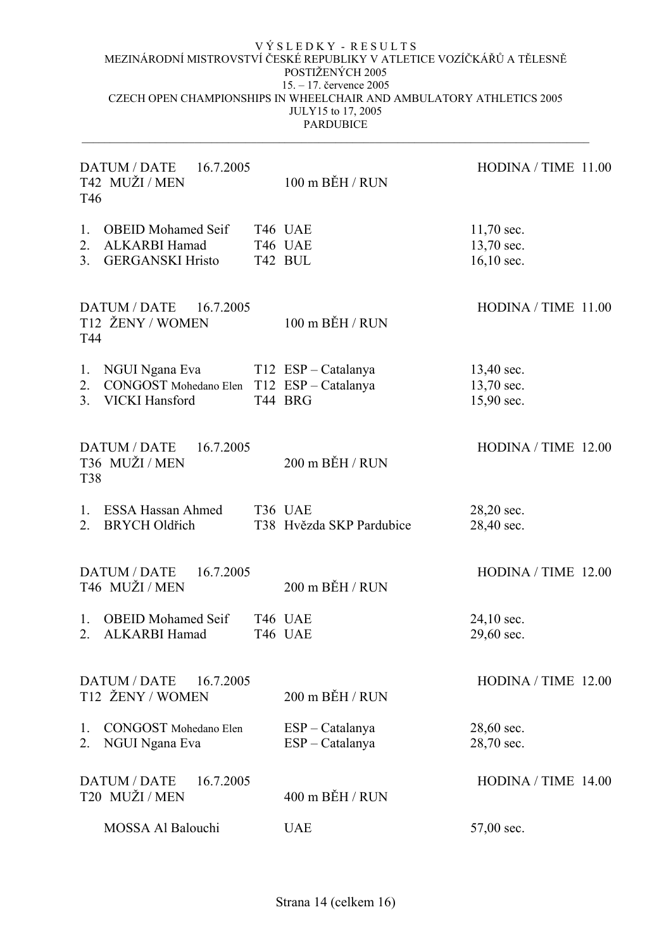| DATUM / DATE<br>16.7.2005<br>T42 MUŽI/MEN<br>T <sub>46</sub> |                                                                               |  | $100$ m $B$ ĚH / RUN                 | HODINA / TIME 11.00                      |
|--------------------------------------------------------------|-------------------------------------------------------------------------------|--|--------------------------------------|------------------------------------------|
| 1.<br>2.<br>3.                                               | OBEID Mohamed Seif T46 UAE<br><b>ALKARBI Hamad</b><br><b>GERGANSKI Hristo</b> |  | T46 UAE<br>T42 BUL                   | $11,70$ sec.<br>13,70 sec.<br>16,10 sec. |
| T44                                                          | DATUM / DATE 16.7.2005<br>T12 ŽENY / WOMEN                                    |  | $100$ m $B$ ĚH / RUN                 | HODINA / TIME 11.00                      |
| 1.<br>2.<br>3.                                               | NGUI Ngana Eva<br>CONGOST Mohedano Elen T12 ESP - Catalanya<br>VICKI Hansford |  | T12 ESP – Catalanya<br>T44 BRG       | 13,40 sec.<br>13,70 sec.<br>15,90 sec.   |
| <b>T38</b>                                                   | <b>DATUM / DATE</b><br>16.7.2005<br>T36 MUŽI / MEN                            |  | 200 m BĚH / RUN                      | HODINA / TIME 12.00                      |
| $1_{\cdot}$<br>2.                                            | <b>ESSA Hassan Ahmed</b><br><b>BRYCH Oldřich</b>                              |  | T36 UAE<br>T38 Hvězda SKP Pardubice  | 28,20 sec.<br>28,40 sec.                 |
|                                                              | <b>DATUM / DATE</b><br>16.7.2005<br>T46 MUŽI / MEN                            |  | 200 m BĚH / RUN                      | HODINA / TIME 12.00                      |
| $1_{\cdot}$<br>2.                                            | <b>OBEID</b> Mohamed Seif<br>ALKARBI Hamad                                    |  | T46 UAE<br>T46 UAE                   | 24,10 sec.<br>29,60 sec.                 |
| <b>DATUM / DATE</b><br>16.7.2005<br>T12 ŽENY / WOMEN         |                                                                               |  | 200 m BĚH / RUN                      | HODINA / TIME 12.00                      |
| 1.<br>2.                                                     | <b>CONGOST</b> Mohedano Elen<br>NGUI Ngana Eva                                |  | $ESP - Catalanya$<br>ESP - Catalanya | 28,60 sec.<br>28,70 sec.                 |
|                                                              | <b>DATUM / DATE</b><br>16.7.2005<br>T20 MUŽI / MEN                            |  | $400$ m BĚH / RUN                    | HODINA / TIME 14.00                      |
|                                                              | MOSSA Al Balouchi                                                             |  | <b>UAE</b>                           | 57,00 sec.                               |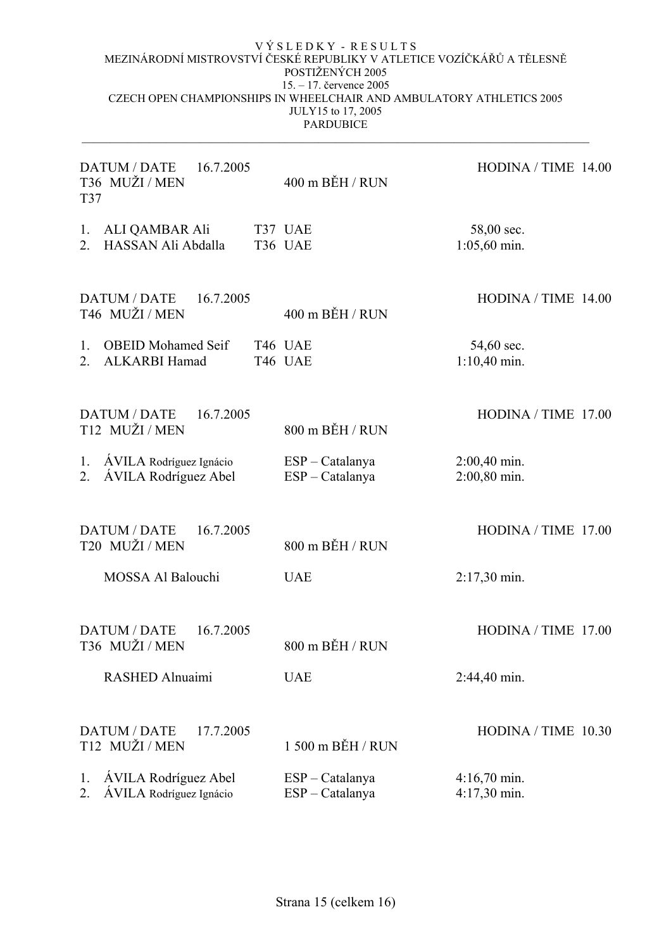| <b>DATUM / DATE</b><br>16.7.2005<br>T36 MUŽI/MEN<br>T37 |                                                        | 400 m BĚH / RUN | HODINA / TIME 14.00                  |                                        |
|---------------------------------------------------------|--------------------------------------------------------|-----------------|--------------------------------------|----------------------------------------|
| 1.<br>$\overline{2}$                                    | ALI QAMBAR Ali<br>HASSAN Ali Abdalla                   |                 | T37 UAE<br>T36 UAE                   | 58,00 sec.<br>$1:05,60$ min.           |
|                                                         | <b>DATUM / DATE</b><br>16.7.2005<br>T46 MUŽI / MEN     |                 | $400$ m $B$ ĚH / RUN                 | HODINA / TIME $14.00$                  |
| $1_{-}$<br>2.                                           | <b>OBEID</b> Mohamed Seif<br>ALKARBI Hamad             |                 | T46 UAE<br>T46 UAE                   | 54,60 sec.<br>$1:10,40$ min.           |
|                                                         | <b>DATUM / DATE</b><br>16.7.2005<br>T12 MUŽI/MEN       |                 | 800 m BĚH / RUN                      | HODINA / TIME 17.00                    |
| 1.                                                      | <b>AVILA</b> Rodríguez Ignácio<br>ÁVILA Rodríguez Abel |                 | $ESP - Catalanya$<br>ESP - Catalanya | 2:00,40 min.<br>2:00,80 min.           |
|                                                         | <b>DATUM / DATE</b><br>16.7.2005<br>T20 MUŽI/MEN       |                 | 800 m BĚH / RUN                      | HODINA / TIME 17.00                    |
|                                                         | <b>MOSSA Al Balouchi</b>                               |                 | <b>UAE</b>                           | 2:17,30 min.                           |
|                                                         | 16.7.2005<br>DATUM / DATE<br>T36 MUŽI/MEN              |                 | $800$ m $B$ ĚH / RUN                 | HODINA / TIME 17.00                    |
|                                                         | <b>RASHED Alnuaimi</b>                                 |                 | <b>UAE</b>                           | 2:44,40 min.                           |
|                                                         | <b>DATUM / DATE</b><br>17.7.2005<br>T12 MUŽI / MEN     |                 | 1 500 m BĚH / RUN                    | HODINA / TIME 10.30                    |
| 1.<br>2.                                                | ÁVILA Rodríguez Abel<br>ÁVILA Rodríguez Ignácio        |                 | $ESP - Catalanya$<br>ESP - Catalanya | $4:16,70 \text{ min.}$<br>4:17,30 min. |